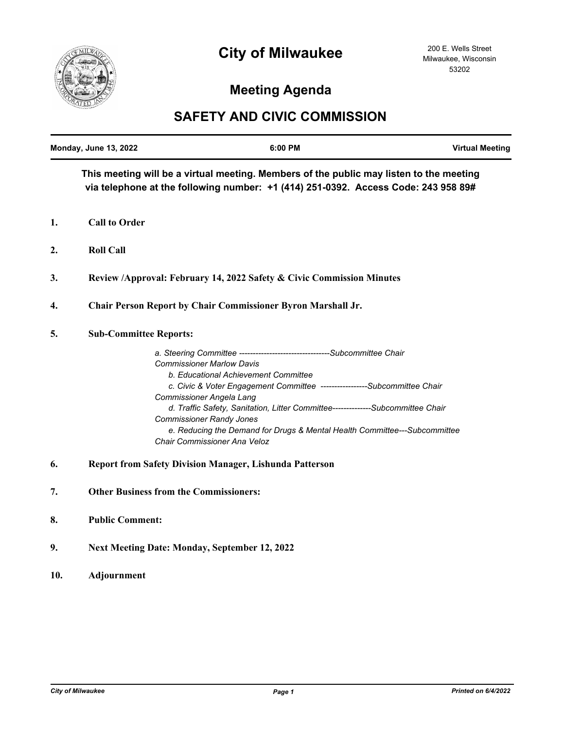## **City of Milwaukee**



## **Meeting Agenda**

## **SAFETY AND CIVIC COMMISSION**

|    | <b>Monday, June 13, 2022</b>                                                                                                                                                  | 6:00 PM                                                                                                                                                                                                                                                                                                                                                                                                                                                                                                 | <b>Virtual Meeting</b> |
|----|-------------------------------------------------------------------------------------------------------------------------------------------------------------------------------|---------------------------------------------------------------------------------------------------------------------------------------------------------------------------------------------------------------------------------------------------------------------------------------------------------------------------------------------------------------------------------------------------------------------------------------------------------------------------------------------------------|------------------------|
|    | This meeting will be a virtual meeting. Members of the public may listen to the meeting<br>via telephone at the following number: +1 (414) 251-0392. Access Code: 243 958 89# |                                                                                                                                                                                                                                                                                                                                                                                                                                                                                                         |                        |
| 1. | <b>Call to Order</b>                                                                                                                                                          |                                                                                                                                                                                                                                                                                                                                                                                                                                                                                                         |                        |
| 2. | <b>Roll Call</b>                                                                                                                                                              |                                                                                                                                                                                                                                                                                                                                                                                                                                                                                                         |                        |
| 3. |                                                                                                                                                                               | Review /Approval: February 14, 2022 Safety & Civic Commission Minutes                                                                                                                                                                                                                                                                                                                                                                                                                                   |                        |
| 4. |                                                                                                                                                                               | <b>Chair Person Report by Chair Commissioner Byron Marshall Jr.</b>                                                                                                                                                                                                                                                                                                                                                                                                                                     |                        |
| 5. | <b>Sub-Committee Reports:</b>                                                                                                                                                 |                                                                                                                                                                                                                                                                                                                                                                                                                                                                                                         |                        |
|    |                                                                                                                                                                               | a. Steering Committee ---------------------------------Subcommittee Chair<br><b>Commissioner Marlow Davis</b><br>b. Educational Achievement Committee<br>c. Civic & Voter Engagement Committee -----------------Subcommittee Chair<br><b>Commissioner Angela Lang</b><br>d. Traffic Safety, Sanitation, Litter Committee-------------Subcommittee Chair<br><b>Commissioner Randy Jones</b><br>e. Reducing the Demand for Drugs & Mental Health Committee---Subcommittee<br>Chair Commissioner Ana Veloz |                        |
| 6. |                                                                                                                                                                               | <b>Report from Safety Division Manager, Lishunda Patterson</b>                                                                                                                                                                                                                                                                                                                                                                                                                                          |                        |
| 7. |                                                                                                                                                                               | <b>Other Business from the Commissioners:</b>                                                                                                                                                                                                                                                                                                                                                                                                                                                           |                        |

- **8. Public Comment:**
- **9. Next Meeting Date: Monday, September 12, 2022**
- **10. Adjournment**